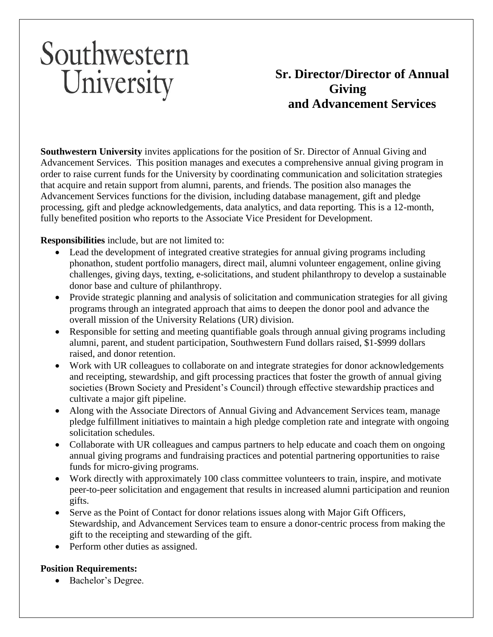# Southwestern University

## **Sr. Director/Director of Annual Giving and Advancement Services**

**Southwestern University** invites applications for the position of Sr. Director of Annual Giving and Advancement Services. This position manages and executes a comprehensive annual giving program in order to raise current funds for the University by coordinating communication and solicitation strategies that acquire and retain support from alumni, parents, and friends. The position also manages the Advancement Services functions for the division, including database management, gift and pledge processing, gift and pledge acknowledgements, data analytics, and data reporting. This is a 12-month, fully benefited position who reports to the Associate Vice President for Development.

### **Responsibilities** include, but are not limited to:

- Lead the development of integrated creative strategies for annual giving programs including phonathon, student portfolio managers, direct mail, alumni volunteer engagement, online giving challenges, giving days, texting, e-solicitations, and student philanthropy to develop a sustainable donor base and culture of philanthropy.
- Provide strategic planning and analysis of solicitation and communication strategies for all giving programs through an integrated approach that aims to deepen the donor pool and advance the overall mission of the University Relations (UR) division.
- Responsible for setting and meeting quantifiable goals through annual giving programs including alumni, parent, and student participation, Southwestern Fund dollars raised, \$1-\$999 dollars raised, and donor retention.
- Work with UR colleagues to collaborate on and integrate strategies for donor acknowledgements and receipting, stewardship, and gift processing practices that foster the growth of annual giving societies (Brown Society and President's Council) through effective stewardship practices and cultivate a major gift pipeline.
- Along with the Associate Directors of Annual Giving and Advancement Services team, manage pledge fulfillment initiatives to maintain a high pledge completion rate and integrate with ongoing solicitation schedules.
- Collaborate with UR colleagues and campus partners to help educate and coach them on ongoing annual giving programs and fundraising practices and potential partnering opportunities to raise funds for micro-giving programs.
- Work directly with approximately 100 class committee volunteers to train, inspire, and motivate peer-to-peer solicitation and engagement that results in increased alumni participation and reunion gifts.
- Serve as the Point of Contact for donor relations issues along with Major Gift Officers, Stewardship, and Advancement Services team to ensure a donor-centric process from making the gift to the receipting and stewarding of the gift.
- Perform other duties as assigned.

### **Position Requirements:**

• Bachelor's Degree.